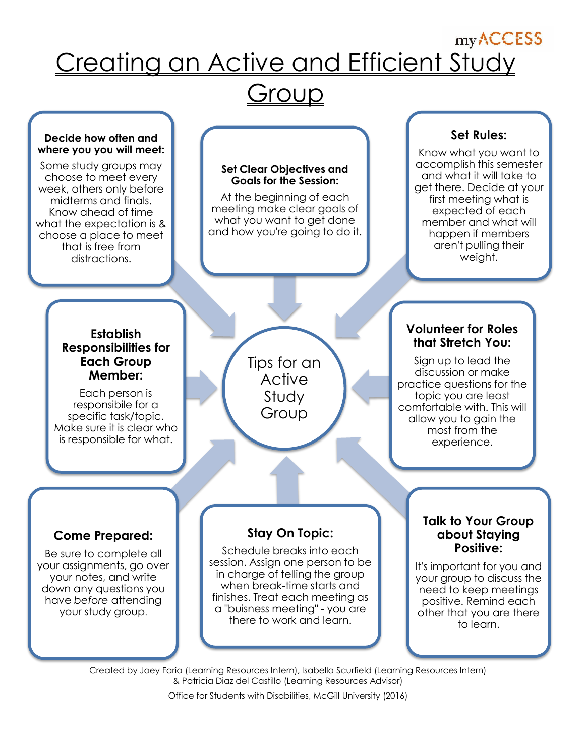# my ACCESS Creating an Active and Efficient Study

## <u>Group</u>

#### **Decide how often and where you you will meet:**

Some study groups may choose to meet every week, others only before midterms and finals. Know ahead of time what the expectation is & choose a place to meet that is free from distractions.

#### **Set Clear Objectives and Goals for the Session:**

At the beginning of each meeting make clear goals of what you want to get done and how you're going to do it.

## **Set Rules:**

Know what you want to accomplish this semester and what it will take to get there. Decide at your first meeting what is expected of each member and what will happen if members aren't pulling their weight.

#### **Establish Responsibilities for Each Group Member:**

Each person is responsibile for a specific task/topic. Make sure it is clear who is responsible for what.

Tips for an **Active** Study Group

#### **Volunteer for Roles that Stretch You:**

Sign up to lead the discussion or make practice questions for the topic you are least comfortable with. This will allow you to gain the most from the experience.

## **Come Prepared:**

Be sure to complete all your assignments, go over your notes, and write down any questions you have *before* attending your study group.

## **Stay On Topic:**

Schedule breaks into each session. Assign one person to be in charge of telling the group when break-time starts and finishes. Treat each meeting as a "buisness meeting" - you are there to work and learn.

**Talk to Your Group about Staying Positive:**

It's important for you and your group to discuss the need to keep meetings positive. Remind each other that you are there to learn.

Created by Joey Faria (Learning Resources Intern), Isabella Scurfield (Learning Resources Intern) & Patricia Diaz del Castillo (Learning Resources Advisor) Office for Students with Disabilities, McGill University (2016)